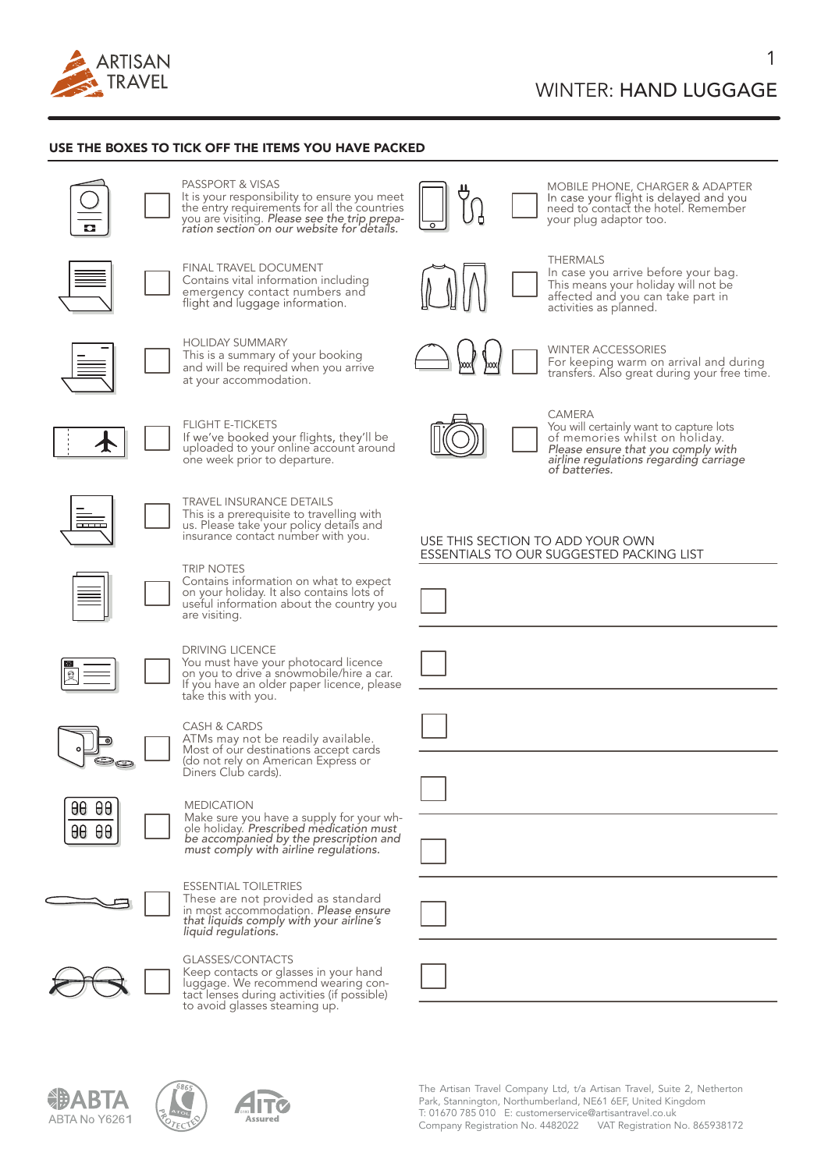

### USE THE BOXES TO TICK OFF THE ITEMS YOU HAVE PACKED



# PASSPORT & VISAS It is your responsibility to ensure you meet the entry requirements for all the countries you are visiting. *Please see the trip prepa- ration section on our website for details.*



FINAL TRAVEL DOCUMENT<br>Contains vital information including emergency contact numbers and<br>flight and luggage information.



HOLIDAY SUMMARY This is a summary of your booking and will be required when you arrive at your accommodation.



FLIGHT E-TICKETS<br>If we've booked your flights, they'll be be uploaded to your online account around one week prior to departure.



# TRAVEL INSURANCE DETAILS<br>This is a prerequisite to travelling with

us. Please take your policy details and insurance contact number with you.



DRIVING LICENCE

take this with you.

TRIP NOTES<br>Contains information on what to expect Contains information on what to expect on your holiday. It also contains lots of useful information about the country you are visiting.

You must have your photocard licence<br>on you to drive a snowmobile/hire a car. If you have an older paper licence, please

CASH & CARDS<br>ATMs may not be readily available. ATMs may not be readily available. Most of our destinations accept cards (do not rely on American Express or<br>Diners Club cards).



 $\theta \theta$ 88  $<sub>0</sub>$  $<sub>0</sub>$  $<sub>0</sub>$ </sub></sub></sub>

### MEDICATION

Make sure you have a supply for your wh-ole holiday. *Prescribed medication must be accompanied by the prescription and must comply with airline regulations.* 



# ESSENTIAL TOILETRIES

These are not provided as standard<br>in most accommodation. Please ensure in most accommodation. *Please ensure that liquids comply with your airline's liquid regulations.*



ABTA No Y6261

GLASSES/CONTACTS<br>Keep contacts or glasses in your hand Keep contacts or glasses in your hand luggage. We recommend wearing con- tact lenses during activities (if possible) to avoid glasses steaming up.

HT (



MOBILE PHONE, CHARGER & ADAPTER In case your flight is delayed and you<br>need to contact the hotel. Remember your plug adaptor too.

### THERMALS

WINTER ACCESSORIES

In case you arrive before your bag. This means your holiday will not be<br>affected and you can take part in activities as planned.

For keeping warm on arrival and during transfers. Also great during your free time.



**CAMERA** You will certainly want to capture lots of memories whilst on holiday. *Please ensure that you comply with airline regulations regarding carriage of batteries.*

### USE THIS SECTION TO ADD YOUR OWN ESSENTIALS TO OUR SUGGESTED PACKING LIST







1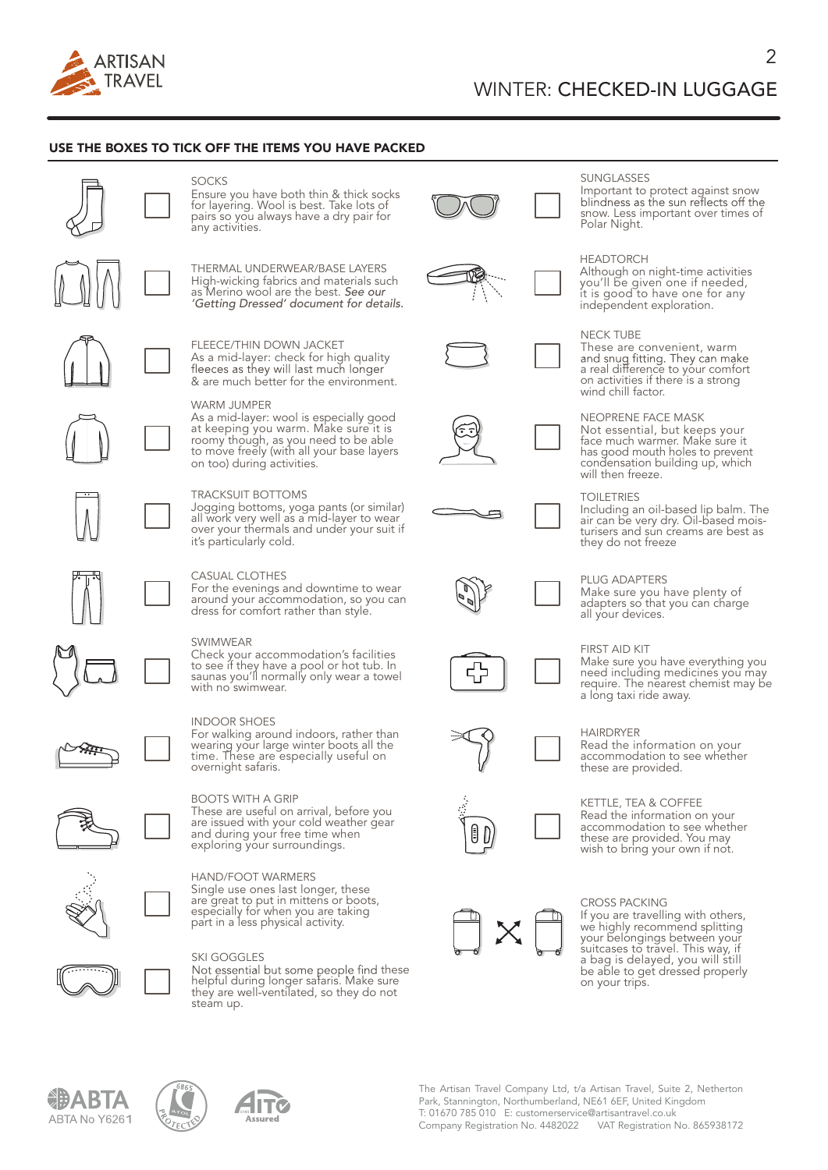

### USE THE BOXES TO TICK OFF THE ITEMS YOU HAVE PACKED



# SOCKS<br>Ensure you have both thin & thick socks for layering. Wool is best. Take lots of pairs so you always have a dry pair for

THERMAL UNDERWEAR/BASE LAYERS High-wicking fabrics and materials such as Merino wool are the best. *See our 'Getting Dressed' document for details.*

FLEECE/THIN DOWN JACKET As a mid-layer: check for high quality<br>fleeces as they will last much longer & are much better for the environment.

### WARM JUMPER

As a mid-layer: wool is especially good<br>at keeping you warm. Make sure it is at keeping you warm. Make sure it is<br>roomy though, as you need to be able<br>to move freely (with all your base layers on too) during activities.

### TRACKSUIT BOTTOMS

Jogging bottoms, yoga pants (or similar) all work very well as a mid-layer to wear over your thermals and under your suit if it's particularly cold.

#### CASUAL CLOTHES

For the evenings and downtime to wear around your accommodation, so you can dress for comfort rather than style.

SWIMWEAR<br>Check your accommodation's facilities Check your accommodation's facilities<br>to see if they have a pool or hot tub. In saunas you'll normally only wear a towel<br>with no swimwear.

For walking around indoors, rather than wearing your large winter boots all the<br>time. These are especially useful on<br>overnight safaris.

BOOTS WITH A GRIP<br>These are useful on arrival, before you are issued with your cold weather gear<br>and during your free time when exploring your surroundings.

# SKI GOGGLES

Not essential but some people find these<br>helpful during longer safaris. Make sure<br>they are well-ventilated, so they do not steam up.

**IT** 



#### SUNGLASSES

Important to protect against snow<br>blindness as the sun reflects off the snow. Less important over times of Polar Night.

 $\overline{\mathcal{L}}$ 

#### **HEADTORCH**

Although on night-time activities you'll be given one if needed, it is good to have one for any independent exploration.

#### NECK TUBE

These are convenient, warm and snug fitting. They can make<br>a real difference to your comfort<br>on activities if there is a strong<br>wind chill factor.

NEOPRENE FACE MASK<br>Not essential, but keeps your Not essential, but keeps your face much warmer. Make sure it has good mouth holes to prevent condensation building up, which will then freeze.

#### TOILETRIES

Including an oil-based lip balm. The air can be very dry. Oil-based mois- turisers and sun creams are best as they do not freeze



### PLUG ADAPTERS

Make sure you have plenty of adapters so that you can charge<br>all your devices.

#### FIRST AID KIT

Make sure you have everything you need including medicines you may require. The nearest chemist may be a long taxi ride away.

HAIRDRYER<br>Read the information on your accommodation to see whether these are provided.

KETTLE, TEA & COFFEE<br>Read the information on your Accommodation to see whether<br>these are provided. You may wish to bring your own if not.



CROSS PACKING<br>If you are travelling with others, If your belongings between your belongings between your suitcases to travel. This way, if a bag is delayed, you will still be able to get dressed properly on your trips.





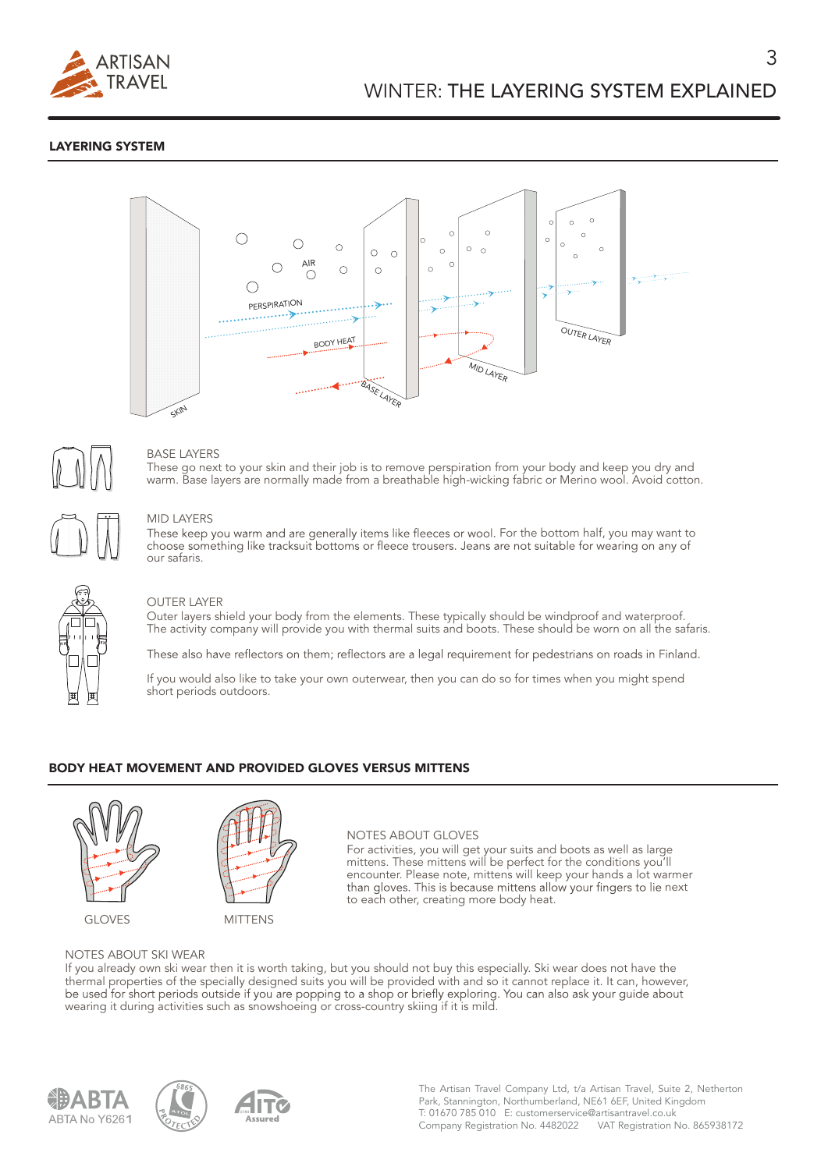

## LAYERING SYSTEM





### BASE LAYERS

These go next to your skin and their job is to remove perspiration from your body and keep you dry and warm. Base layers are normally made from a breathable high-wicking fabric or Merino wool. Avoid cotton.

### MID LAYERS

These keep you warm and are generally items like fleeces or wool. For the bottom half, you may want to<br>choose something like tracksuit bottoms or fleece trousers. Jeans are not suitable for wearing on any of our safaris.



### OUTER LAYER

Outer layers shield your body from the elements. These typically should be windproof and waterproof. The activity company will provide you with thermal suits and boots. These should be worn on all the safaris.

These also have reflectors on them; reflectors are a legal requirement for pedestrians on roads in Finland.

If you would also like to take your own outerwear, then you can do so for times when you might spend short periods outdoors.

### BODY HEAT MOVEMENT AND PROVIDED GLOVES VERSUS MITTENS



GLOVES MITTENS



#### NOTES ABOUT GLOVES

For activities, you will get your suits and boots as well as large mittens. These mittens will be perfect for the conditions you'll encounter. Please note, mittens will keep your hands a lot warmer than gloves. This is because mittens allow your fingers to lie next to each other, creating more body heat.

#### NOTES ABOUT SKI WEAR

If you already own ski wear then it is worth taking, but you should not buy this especially. Ski wear does not have the thermal properties of the specially designed suits you will be provided with and so it cannot replace it. It can, however, be used for short periods outside if you are popping to a shop or briefly exploring. You can also a wearing it during activities such as snowshoeing or cross-country skiing if it is mild.





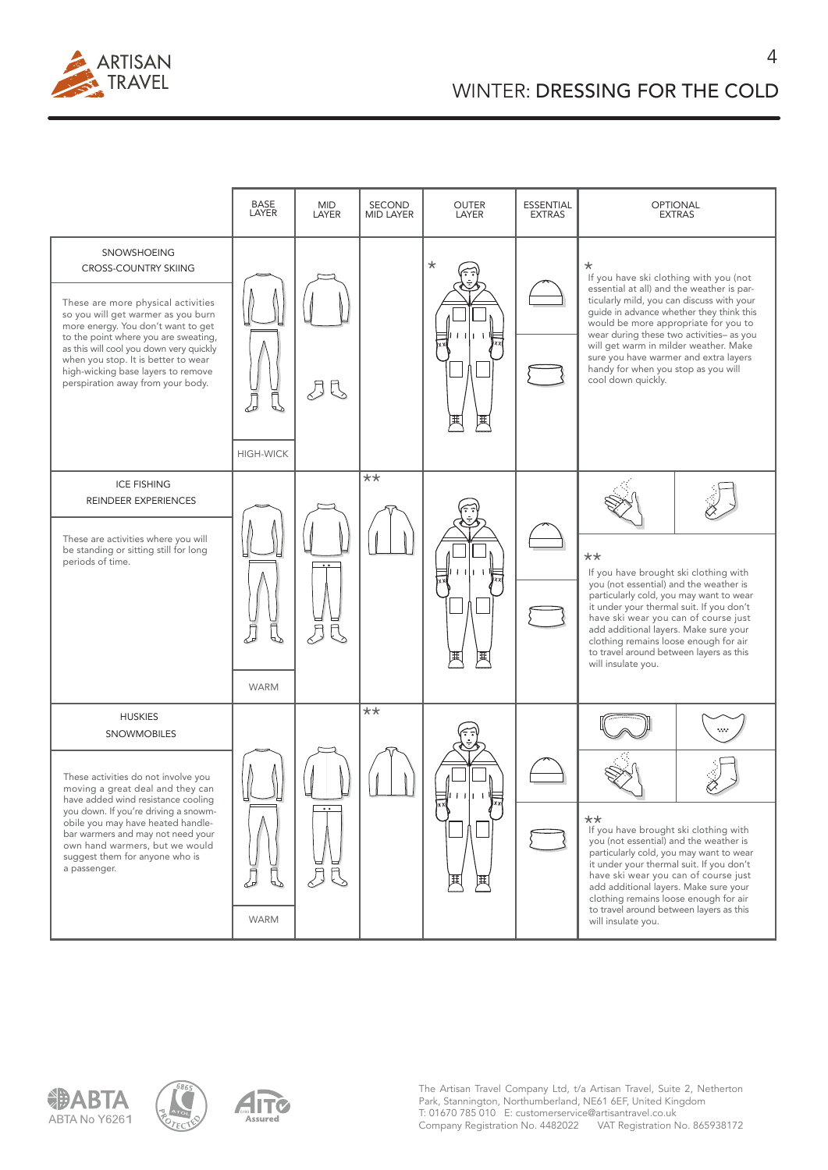

 $\overline{\Delta}$ 







The Artisan Travel Company Ltd, t/a Artisan Travel, Suite 2, Netherton Park, Stannington, Northumberland, NE61 6EF, United Kingdom T: 01670 785 010 E: customerservice@artisantravel.co.uk Company Registration No. 4482022 VAT Registration No. 865938172